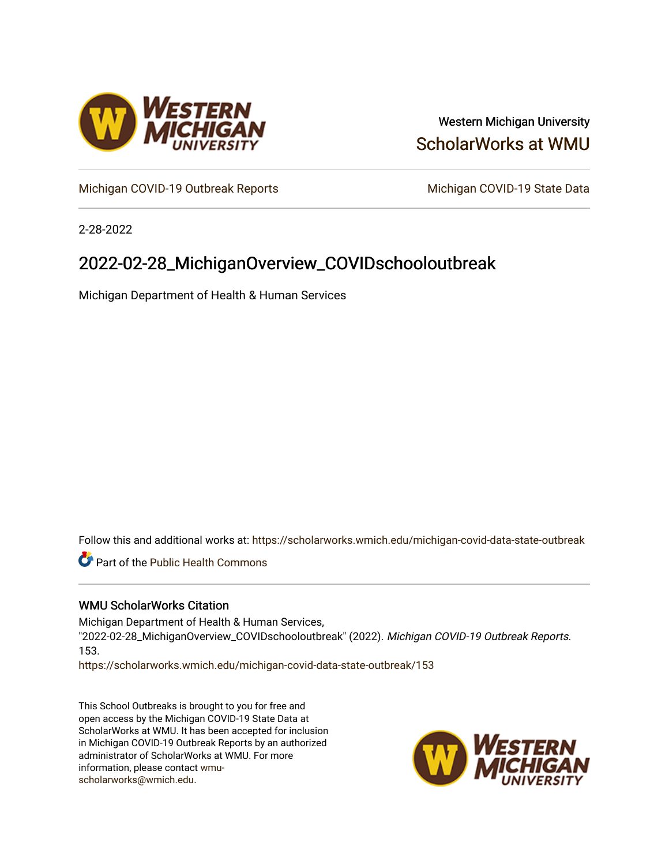

### Western Michigan University [ScholarWorks at WMU](https://scholarworks.wmich.edu/)

[Michigan COVID-19 Outbreak Reports](https://scholarworks.wmich.edu/michigan-covid-data-state-outbreak) Michigan COVID-19 State Data

2-28-2022

## 2022-02-28\_MichiganOverview\_COVIDschooloutbreak

Michigan Department of Health & Human Services

Follow this and additional works at: [https://scholarworks.wmich.edu/michigan-covid-data-state-outbreak](https://scholarworks.wmich.edu/michigan-covid-data-state-outbreak?utm_source=scholarworks.wmich.edu%2Fmichigan-covid-data-state-outbreak%2F153&utm_medium=PDF&utm_campaign=PDFCoverPages)

**Part of the Public Health Commons** 

#### WMU ScholarWorks Citation

Michigan Department of Health & Human Services, "2022-02-28\_MichiganOverview\_COVIDschooloutbreak" (2022). Michigan COVID-19 Outbreak Reports. 153.

[https://scholarworks.wmich.edu/michigan-covid-data-state-outbreak/153](https://scholarworks.wmich.edu/michigan-covid-data-state-outbreak/153?utm_source=scholarworks.wmich.edu%2Fmichigan-covid-data-state-outbreak%2F153&utm_medium=PDF&utm_campaign=PDFCoverPages) 

This School Outbreaks is brought to you for free and open access by the Michigan COVID-19 State Data at ScholarWorks at WMU. It has been accepted for inclusion in Michigan COVID-19 Outbreak Reports by an authorized administrator of ScholarWorks at WMU. For more information, please contact [wmu](mailto:wmu-scholarworks@wmich.edu)[scholarworks@wmich.edu.](mailto:wmu-scholarworks@wmich.edu)

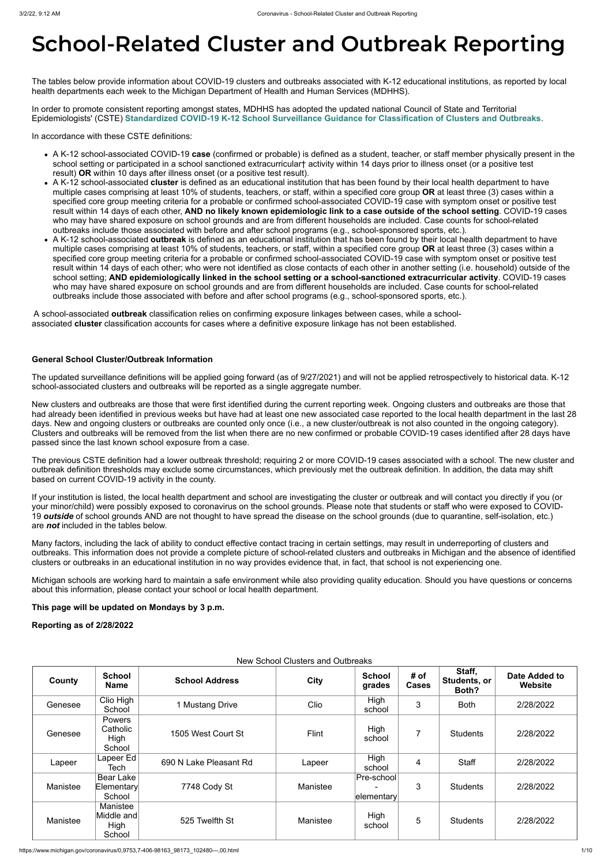# **School-Related Cluster and Outbreak Reporting**

The tables below provide information about COVID-19 clusters and outbreaks associated with K-12 educational institutions, as reported by local health departments each week to the Michigan Department of Health and Human Services (MDHHS).

In order to promote consistent reporting amongst states, MDHHS has adopted the updated national Council of State and Territorial Epidemiologists' (CSTE) **[Standardized COVID-19 K-12 School Surveillance Guidance for Classification of Clusters and Outbreaks](https://preparedness.cste.org/wp-content/uploads/2021/08/CSTE-Standardized-COVID-19-K-12-School-Surveillance-Guidance-for-Classification-of-Clusters-and-Outbreaks.pdf)**.

In accordance with these CSTE definitions:

- A K-12 school-associated COVID-19 **case** (confirmed or probable) is defined as a student, teacher, or staff member physically present in the school setting or participated in a school sanctioned extracurricular† activity within 14 days prior to illness onset (or a positive test result) **OR** within 10 days after illness onset (or a positive test result).
- A K-12 school-associated **cluster** is defined as an educational institution that has been found by their local health department to have multiple cases comprising at least 10% of students, teachers, or staff, within a specified core group **OR** at least three (3) cases within a specified core group meeting criteria for a probable or confirmed school-associated COVID-19 case with symptom onset or positive test result within 14 days of each other, **AND no likely known epidemiologic link to a case outside of the school setting**. COVID-19 cases who may have shared exposure on school grounds and are from different households are included. Case counts for school-related outbreaks include those associated with before and after school programs (e.g., school-sponsored sports, etc.).
- A K-12 school-associated **outbreak** is defined as an educational institution that has been found by their local health department to have multiple cases comprising at least 10% of students, teachers, or staff, within a specified core group **OR** at least three (3) cases within a specified core group meeting criteria for a probable or confirmed school-associated COVID-19 case with symptom onset or positive test result within 14 days of each other; who were not identified as close contacts of each other in another setting (i.e. household) outside of the school setting; **AND epidemiologically linked in the school setting or a school-sanctioned extracurricular activity**. COVID-19 cases who may have shared exposure on school grounds and are from different households are included. Case counts for school-related outbreaks include those associated with before and after school programs (e.g., school-sponsored sports, etc.).

A school-associated **outbreak** classification relies on confirming exposure linkages between cases, while a schoolassociated **cluster** classification accounts for cases where a definitive exposure linkage has not been established.

#### **General School Cluster/Outbreak Information**

The updated surveillance definitions will be applied going forward (as of 9/27/2021) and will not be applied retrospectively to historical data. K-12 school-associated clusters and outbreaks will be reported as a single aggregate number.

New clusters and outbreaks are those that were first identified during the current reporting week. Ongoing clusters and outbreaks are those that had already been identified in previous weeks but have had at least one new associated case reported to the local health department in the last 28 days. New and ongoing clusters or outbreaks are counted only once (i.e., a new cluster/outbreak is not also counted in the ongoing category). Clusters and outbreaks will be removed from the list when there are no new confirmed or probable COVID-19 cases identified after 28 days have passed since the last known school exposure from a case.

The previous CSTE definition had a lower outbreak threshold; requiring 2 or more COVID-19 cases associated with a school. The new cluster and outbreak definition thresholds may exclude some circumstances, which previously met the outbreak definition. In addition, the data may shift based on current COVID-19 activity in the county.

If your institution is listed, the local health department and school are investigating the cluster or outbreak and will contact you directly if you (or your minor/child) were possibly exposed to coronavirus on the school grounds. Please note that students or staff who were exposed to COVID-19 *outside* of school grounds AND are not thought to have spread the disease on the school grounds (due to quarantine, self-isolation, etc.) are *not* included in the tables below.

Many factors, including the lack of ability to conduct effective contact tracing in certain settings, may result in underreporting of clusters and outbreaks. This information does not provide a complete picture of school-related clusters and outbreaks in Michigan and the absence of identified clusters or outbreaks in an educational institution in no way provides evidence that, in fact, that school is not experiencing one.

Michigan schools are working hard to maintain a safe environment while also providing quality education. Should you have questions or concerns about this information, please contact your school or local health department.

**This page will be updated on Mondays by 3 p.m.**

**Reporting as of 2/28/2022**

New School Clusters and Outbreaks

| County   | <b>School</b><br><b>Name</b>             | <b>School Address</b>  | City     | <b>School</b><br>grades                    | # of<br><b>Cases</b> | Staff,<br>Students, or<br>Both? | Date Added to<br>Website |
|----------|------------------------------------------|------------------------|----------|--------------------------------------------|----------------------|---------------------------------|--------------------------|
| Genesee  | Clio High<br>School                      | 1 Mustang Drive        | Clio     | High<br>school                             | 3                    | <b>Both</b>                     | 2/28/2022                |
| Genesee  | Powers<br>Catholic<br>High<br>School     | 1505 West Court St     | Flint    | High<br>school                             | 7                    | <b>Students</b>                 | 2/28/2022                |
| Lapeer   | Lapeer $Ed$<br>Tech                      | 690 N Lake Pleasant Rd | Lapeer   | High<br>school                             | $\overline{4}$       | <b>Staff</b>                    | 2/28/2022                |
| Manistee | Bear Lake<br>Elementary<br>School        | 7748 Cody St           | Manistee | Pre-school<br>$\blacksquare$<br>elementary | 3                    | <b>Students</b>                 | 2/28/2022                |
| Manistee | Manistee<br>Middle and<br>High<br>School | 525 Twelfth St         | Manistee | High<br>school                             | 5                    | <b>Students</b>                 | 2/28/2022                |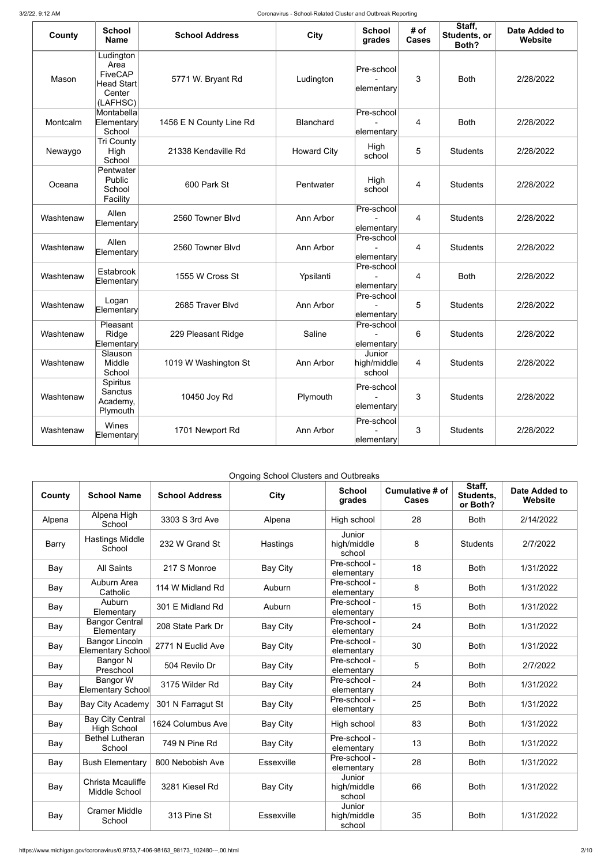| <b>County</b> | <b>School</b><br><b>Name</b>                                                   | <b>School Address</b>   | <b>City</b>        | <b>School</b><br>grades         | # of<br><b>Cases</b> | Staff,<br>Students, or<br>Both? | <b>Date Added to</b><br><b>Website</b> |
|---------------|--------------------------------------------------------------------------------|-------------------------|--------------------|---------------------------------|----------------------|---------------------------------|----------------------------------------|
| Mason         | Ludington<br>Area<br><b>FiveCAP</b><br><b>Head Start</b><br>Center<br>(LAFHSC) | 5771 W. Bryant Rd       | Ludington          | Pre-school<br>elementary        | 3                    | <b>Both</b>                     | 2/28/2022                              |
| Montcalm      | Montabella<br>Elementary<br>School                                             | 1456 E N County Line Rd | <b>Blanchard</b>   | Pre-school<br>elementary        | 4                    | <b>Both</b>                     | 2/28/2022                              |
| Newaygo       | <b>Tri County</b><br>High<br>School                                            | 21338 Kendaville Rd     | <b>Howard City</b> | High<br>school                  | 5                    | <b>Students</b>                 | 2/28/2022                              |
| Oceana        | Pentwater<br>Public<br>School<br>Facility                                      | 600 Park St             | Pentwater          | High<br>school                  | 4                    | <b>Students</b>                 | 2/28/2022                              |
| Washtenaw     | Allen<br>Elementary                                                            | 2560 Towner Blvd        | Ann Arbor          | Pre-school<br>elementary        | 4                    | <b>Students</b>                 | 2/28/2022                              |
| Washtenaw     | Allen<br>Elementary                                                            | 2560 Towner Blvd        | Ann Arbor          | Pre-school<br>elementary        | $\overline{4}$       | <b>Students</b>                 | 2/28/2022                              |
| Washtenaw     | Estabrook<br>Elementary                                                        | 1555 W Cross St         | Ypsilanti          | Pre-school<br>elementary        | 4                    | <b>Both</b>                     | 2/28/2022                              |
| Washtenaw     | Logan<br>Elementary                                                            | 2685 Traver Blvd        | Ann Arbor          | Pre-school<br>elementary        | 5                    | <b>Students</b>                 | 2/28/2022                              |
| Washtenaw     | Pleasant<br>Ridge<br>Elementary                                                | 229 Pleasant Ridge      | Saline             | Pre-school<br>∣elementary∣      | 6                    | <b>Students</b>                 | 2/28/2022                              |
| Washtenaw     | Slauson<br>Middle<br>School                                                    | 1019 W Washington St    | Ann Arbor          | Junior<br>high/middle<br>school | 4                    | <b>Students</b>                 | 2/28/2022                              |
| Washtenaw     | Spiritus<br>Sanctus<br>Academy,<br>Plymouth                                    | 10450 Joy Rd            | Plymouth           | Pre-school<br>elementary        | 3                    | <b>Students</b>                 | 2/28/2022                              |
| Washtenaw     | Wines<br>Elementary                                                            | 1701 Newport Rd         | Ann Arbor          | Pre-school<br>elementary        | 3                    | <b>Students</b>                 | 2/28/2022                              |

Ongoing School Clusters and Outbreaks

| County       | <b>School Name</b>                                | <b>School Address</b> | City              | <b>School</b><br>grades         | Cumulative # of<br><b>Cases</b> | Staff,<br>Students,<br>or Both? | <b>Date Added to</b><br>Website |
|--------------|---------------------------------------------------|-----------------------|-------------------|---------------------------------|---------------------------------|---------------------------------|---------------------------------|
| Alpena       | Alpena High<br>School                             | 3303 S 3rd Ave        | Alpena            | High school                     | 28                              | <b>Both</b>                     | 2/14/2022                       |
| <b>Barry</b> | <b>Hastings Middle</b><br>School                  | 232 W Grand St        | Hastings          | Junior<br>high/middle<br>school | 8                               | <b>Students</b>                 | 2/7/2022                        |
| Bay          | <b>All Saints</b>                                 | 217 S Monroe          | <b>Bay City</b>   | Pre-school -<br>elementary      | 18                              | <b>Both</b>                     | 1/31/2022                       |
| Bay          | Auburn Area<br>Catholic                           | 114 W Midland Rd      | Auburn            | Pre-school -<br>elementary      | 8                               | <b>Both</b>                     | 1/31/2022                       |
| Bay          | Auburn<br>Elementary                              | 301 E Midland Rd      | Auburn            | Pre-school -<br>elementary      | 15                              | <b>Both</b>                     | 1/31/2022                       |
| Bay          | <b>Bangor Central</b><br>Elementary               | 208 State Park Dr     | <b>Bay City</b>   | Pre-school -<br>elementary      | 24                              | <b>Both</b>                     | 1/31/2022                       |
| Bay          | <b>Bangor Lincoln</b><br><b>Elementary School</b> | 2771 N Euclid Ave     | <b>Bay City</b>   | Pre-school -<br>elementary      | 30                              | <b>Both</b>                     | 1/31/2022                       |
| Bay          | <b>Bangor N</b><br>Preschool                      | 504 Revilo Dr         | <b>Bay City</b>   | Pre-school -<br>elementary      | 5                               | <b>Both</b>                     | 2/7/2022                        |
| Bay          | <b>Bangor W</b><br><b>Elementary School</b>       | 3175 Wilder Rd        | <b>Bay City</b>   | Pre-school -<br>elementary      | 24                              | <b>Both</b>                     | 1/31/2022                       |
| Bay          | <b>Bay City Academy</b>                           | 301 N Farragut St     | <b>Bay City</b>   | Pre-school -<br>elementary      | 25                              | <b>Both</b>                     | 1/31/2022                       |
| Bay          | <b>Bay City Central</b><br><b>High School</b>     | 1624 Columbus Ave     | <b>Bay City</b>   | High school                     | 83                              | <b>Both</b>                     | 1/31/2022                       |
| Bay          | <b>Bethel Lutheran</b><br>School                  | 749 N Pine Rd         | <b>Bay City</b>   | Pre-school -<br>elementary      | 13                              | <b>Both</b>                     | 1/31/2022                       |
| Bay          | <b>Bush Elementary</b>                            | 800 Nebobish Ave      | Essexville        | Pre-school -<br>elementary      | 28                              | <b>Both</b>                     | 1/31/2022                       |
| Bay          | <b>Christa Mcauliffe</b><br>Middle School         | 3281 Kiesel Rd        | <b>Bay City</b>   | Junior<br>high/middle<br>school | 66                              | <b>Both</b>                     | 1/31/2022                       |
| Bay          | <b>Cramer Middle</b><br>School                    | 313 Pine St           | <b>Essexville</b> | Junior<br>high/middle<br>school | 35                              | <b>Both</b>                     | 1/31/2022                       |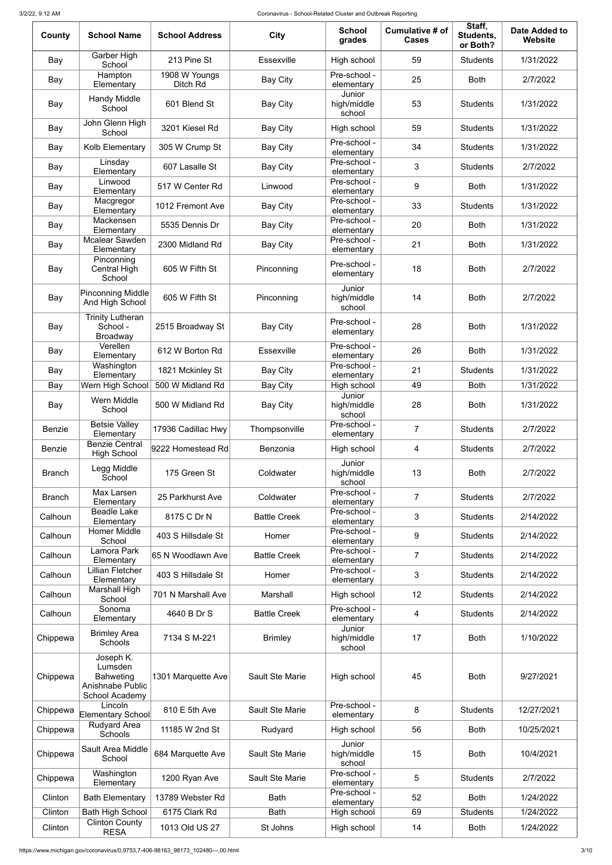3/2/22, 9:12 AM Coronavirus - School-Related Cluster and Outbreak Reporting

| County        | <b>School Name</b>                                                             | <b>School Address</b>     | <b>City</b>            | <b>School</b><br>grades         | Cumulative # of<br><b>Cases</b> | Staff,<br>Students,<br>or Both? | <b>Date Added to</b><br>Website |
|---------------|--------------------------------------------------------------------------------|---------------------------|------------------------|---------------------------------|---------------------------------|---------------------------------|---------------------------------|
| Bay           | Garber High<br>School                                                          | 213 Pine St               | <b>Essexville</b>      | High school                     | 59                              | <b>Students</b>                 | 1/31/2022                       |
| Bay           | Hampton<br>Elementary                                                          | 1908 W Youngs<br>Ditch Rd | <b>Bay City</b>        | Pre-school -<br>elementary      | 25                              | <b>Both</b>                     | 2/7/2022                        |
| Bay           | <b>Handy Middle</b><br>School                                                  | 601 Blend St              | <b>Bay City</b>        | Junior<br>high/middle<br>school | 53                              | <b>Students</b>                 | 1/31/2022                       |
| Bay           | John Glenn High<br>School                                                      | 3201 Kiesel Rd            | <b>Bay City</b>        | High school                     | 59                              | <b>Students</b>                 | 1/31/2022                       |
| Bay           | Kolb Elementary                                                                | 305 W Crump St            | <b>Bay City</b>        | Pre-school -<br>elementary      | 34                              | <b>Students</b>                 | 1/31/2022                       |
| Bay           | Linsday<br>Elementary                                                          | 607 Lasalle St            | <b>Bay City</b>        | Pre-school -<br>elementary      | 3                               | <b>Students</b>                 | 2/7/2022                        |
| Bay           | Linwood<br>Elementary                                                          | 517 W Center Rd           | Linwood                | Pre-school -<br>elementary      | 9                               | <b>Both</b>                     | 1/31/2022                       |
| Bay           | Macgregor<br>Elementary                                                        | 1012 Fremont Ave          | <b>Bay City</b>        | Pre-school -<br>elementary      | 33                              | <b>Students</b>                 | 1/31/2022                       |
| Bay           | Mackensen<br>Elementary                                                        | 5535 Dennis Dr            | <b>Bay City</b>        | Pre-school -<br>elementary      | 20                              | <b>Both</b>                     | 1/31/2022                       |
| Bay           | <b>Mcalear Sawden</b><br>Elementary                                            | 2300 Midland Rd           | <b>Bay City</b>        | Pre-school -<br>elementary      | 21                              | <b>Both</b>                     | 1/31/2022                       |
| Bay           | Pinconning<br><b>Central High</b><br>School                                    | 605 W Fifth St            | Pinconning             | Pre-school -<br>elementary      | 18                              | <b>Both</b>                     | 2/7/2022                        |
| Bay           | <b>Pinconning Middle</b><br>And High School                                    | 605 W Fifth St            | Pinconning             | Junior<br>high/middle<br>school | 14                              | <b>Both</b>                     | 2/7/2022                        |
| Bay           | <b>Trinity Lutheran</b><br>School -<br><b>Broadway</b>                         | 2515 Broadway St          | <b>Bay City</b>        | Pre-school -<br>elementary      | 28                              | <b>Both</b>                     | 1/31/2022                       |
| Bay           | Verellen<br>Elementary                                                         | 612 W Borton Rd           | Essexville             | Pre-school -<br>elementary      | 26                              | <b>Both</b>                     | 1/31/2022                       |
| Bay           | Washington<br>Elementary                                                       | 1821 Mckinley St          | <b>Bay City</b>        | Pre-school -<br>elementary      | 21                              | <b>Students</b>                 | 1/31/2022                       |
| Bay           | Wern High School                                                               | 500 W Midland Rd          | <b>Bay City</b>        | High school                     | 49                              | <b>Both</b>                     | 1/31/2022                       |
| Bay           | Wern Middle<br>School                                                          | 500 W Midland Rd          | <b>Bay City</b>        | Junior<br>high/middle<br>school | 28                              | <b>Both</b>                     | 1/31/2022                       |
| <b>Benzie</b> | <b>Betsie Valley</b><br>Elementary                                             | 17936 Cadillac Hwy        | Thompsonville          | Pre-school -<br>elementary      | $\overline{7}$                  | <b>Students</b>                 | 2/7/2022                        |
| <b>Benzie</b> | <b>Benzie Central</b><br><b>High School</b>                                    | 9222 Homestead Rd         | Benzonia               | High school                     | 4                               | <b>Students</b>                 | 2/7/2022                        |
| <b>Branch</b> | Legg Middle<br>School                                                          | 175 Green St              | Coldwater              | Junior<br>high/middle<br>school | 13                              | <b>Both</b>                     | 2/7/2022                        |
| <b>Branch</b> | Max Larsen<br>Elementary                                                       | 25 Parkhurst Ave          | Coldwater              | Pre-school -<br>elementary      | $\overline{7}$                  | <b>Students</b>                 | 2/7/2022                        |
| Calhoun       | <b>Beadle Lake</b><br>Elementary                                               | 8175 C Dr N               | <b>Battle Creek</b>    | Pre-school -<br>elementary      | 3                               | <b>Students</b>                 | 2/14/2022                       |
| Calhoun       | <b>Homer Middle</b><br>School                                                  | 403 S Hillsdale St        | Homer                  | Pre-school -<br>elementary      | 9                               | <b>Students</b>                 | 2/14/2022                       |
| Calhoun       | Lamora Park<br>Elementary                                                      | 65 N Woodlawn Ave         | <b>Battle Creek</b>    | Pre-school -<br>elementary      | $\overline{7}$                  | <b>Students</b>                 | 2/14/2022                       |
| Calhoun       | <b>Lillian Fletcher</b><br>Elementary                                          | 403 S Hillsdale St        | Homer                  | Pre-school -<br>elementary      | 3                               | <b>Students</b>                 | 2/14/2022                       |
| Calhoun       | Marshall High<br>School                                                        | 701 N Marshall Ave        | Marshall               | High school                     | 12                              | <b>Students</b>                 | 2/14/2022                       |
| Calhoun       | Sonoma<br>Elementary                                                           | 4640 B Dr S               | <b>Battle Creek</b>    | Pre-school -<br>elementary      | 4                               | <b>Students</b>                 | 2/14/2022                       |
| Chippewa      | <b>Brimley Area</b><br>Schools                                                 | 7134 S M-221              | <b>Brimley</b>         | Junior<br>high/middle<br>school | 17                              | <b>Both</b>                     | 1/10/2022                       |
| Chippewa      | Joseph K.<br>Lumsden<br><b>Bahweting</b><br>Anishnabe Public<br>School Academy | 1301 Marquette Ave        | Sault Ste Marie        | High school                     | 45                              | <b>Both</b>                     | 9/27/2021                       |
| Chippewa      | Lincoln<br>Elementary School                                                   | 810 E 5th Ave             | Sault Ste Marie        | Pre-school -<br>elementary      | 8                               | <b>Students</b>                 | 12/27/2021                      |
| Chippewa      | <b>Rudyard Area</b><br>Schools                                                 | 11185 W 2nd St            | Rudyard                | High school                     | 56                              | <b>Both</b>                     | 10/25/2021                      |
| Chippewa      | Sault Area Middle<br>School                                                    | 684 Marquette Ave         | <b>Sault Ste Marie</b> | Junior<br>high/middle<br>school | 15                              | <b>Both</b>                     | 10/4/2021                       |
| Chippewa      | Washington<br>Elementary                                                       | 1200 Ryan Ave             | <b>Sault Ste Marie</b> | Pre-school -<br>elementary      | 5                               | <b>Students</b>                 | 2/7/2022                        |
| Clinton       | <b>Bath Elementary</b>                                                         | 13789 Webster Rd          | <b>Bath</b>            | Pre-school -<br>elementary      | 52                              | <b>Both</b>                     | 1/24/2022                       |
| Clinton       | <b>Bath High School</b>                                                        | 6175 Clark Rd             | <b>Bath</b>            | High school                     | 69                              | <b>Students</b>                 | 1/24/2022                       |
| Clinton       | <b>Clinton County</b><br><b>RESA</b>                                           | 1013 Old US 27            | St Johns               | High school                     | 14                              | <b>Both</b>                     | 1/24/2022                       |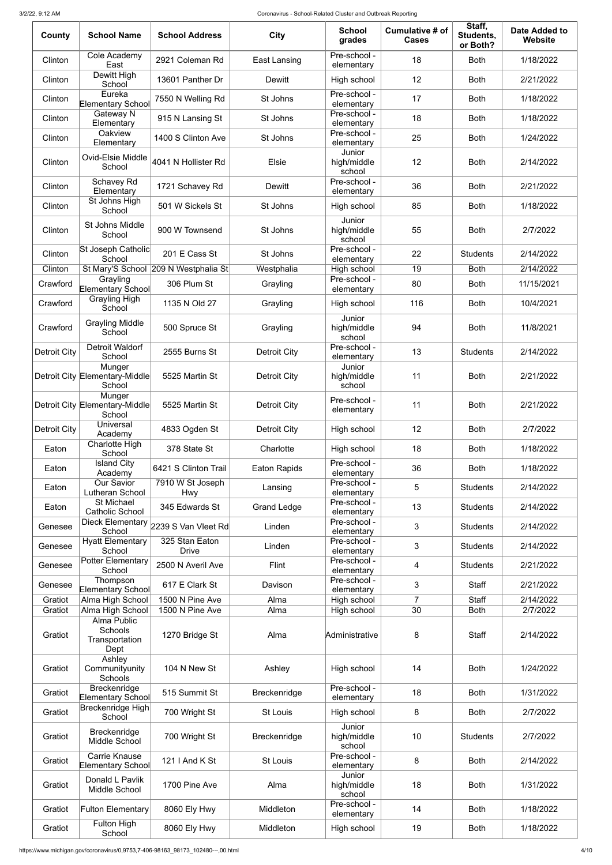| County              | <b>School Name</b>                                 | <b>School Address</b>                | <b>City</b>         | <b>School</b><br>grades              | Cumulative # of<br><b>Cases</b> | Staff,<br>Students,<br>or Both? | <b>Date Added to</b><br>Website |
|---------------------|----------------------------------------------------|--------------------------------------|---------------------|--------------------------------------|---------------------------------|---------------------------------|---------------------------------|
| Clinton             | Cole Academy<br>East                               | 2921 Coleman Rd                      | <b>East Lansing</b> | Pre-school -<br>elementary           | 18                              | <b>Both</b>                     | 1/18/2022                       |
| Clinton             | Dewitt High<br>School                              | 13601 Panther Dr                     | Dewitt              | High school                          | 12                              | <b>Both</b>                     | 2/21/2022                       |
| Clinton             | Eureka<br><b>Elementary School</b>                 | 7550 N Welling Rd                    | St Johns            | Pre-school -<br>elementary           | 17                              | <b>Both</b>                     | 1/18/2022                       |
| Clinton             | Gateway N<br>Elementary                            | 915 N Lansing St                     | St Johns            | Pre-school -<br>elementary           | 18                              | <b>Both</b>                     | 1/18/2022                       |
| Clinton             | Oakview<br>Elementary                              | 1400 S Clinton Ave                   | St Johns            | Pre-school -<br>elementary           | 25                              | <b>Both</b>                     | 1/24/2022                       |
| Clinton             | <b>Ovid-Elsie Middle</b><br>School                 | 4041 N Hollister Rd                  | Elsie               | Junior<br>high/middle                | 12                              | <b>Both</b>                     | 2/14/2022                       |
| Clinton             | Schavey Rd<br>Elementary                           | 1721 Schavey Rd                      | Dewitt              | school<br>Pre-school -<br>elementary | 36                              | <b>Both</b>                     | 2/21/2022                       |
| Clinton             | St Johns High<br>School                            | 501 W Sickels St                     | St Johns            | High school                          | 85                              | <b>Both</b>                     | 1/18/2022                       |
| Clinton             | St Johns Middle<br>School                          | 900 W Townsend                       | St Johns            | Junior<br>high/middle<br>school      | 55                              | <b>Both</b>                     | 2/7/2022                        |
| Clinton             | St Joseph Catholic<br>School                       | 201 E Cass St                        | St Johns            | Pre-school -<br>elementary           | 22                              | <b>Students</b>                 | 2/14/2022                       |
| Clinton             | St Mary'S School                                   | 209 N Westphalia St                  | Westphalia          | High school                          | 19                              | <b>Both</b>                     | 2/14/2022                       |
| Crawford            | Grayling<br>Elementary School                      | 306 Plum St                          | Grayling            | Pre-school -<br>elementary           | 80                              | <b>Both</b>                     | 11/15/2021                      |
| Crawford            | <b>Grayling High</b><br>School                     | 1135 N Old 27                        | Grayling            | High school                          | 116                             | <b>Both</b>                     | 10/4/2021                       |
| Crawford            | <b>Grayling Middle</b><br>School                   | 500 Spruce St                        | Grayling            | Junior<br>high/middle<br>school      | 94                              | <b>Both</b>                     | 11/8/2021                       |
| <b>Detroit City</b> | Detroit Waldorf<br>School                          | 2555 Burns St                        | <b>Detroit City</b> | Pre-school -<br>elementary           | 13                              | <b>Students</b>                 | 2/14/2022                       |
|                     | Munger<br>Detroit City Elementary-Middle<br>School | 5525 Martin St                       | <b>Detroit City</b> | Junior<br>high/middle<br>school      | 11                              | <b>Both</b>                     | 2/21/2022                       |
|                     | Munger<br>Detroit City Elementary-Middle<br>School | 5525 Martin St                       | Detroit City        | Pre-school -<br>elementary           | 11                              | <b>Both</b>                     | 2/21/2022                       |
| <b>Detroit City</b> | Universal<br>Academy                               | 4833 Ogden St                        | <b>Detroit City</b> | High school                          | 12                              | <b>Both</b>                     | 2/7/2022                        |
| Eaton               | Charlotte High<br>School                           | 378 State St                         | Charlotte           | High school                          | 18                              | <b>Both</b>                     | 1/18/2022                       |
| Eaton               | <b>Island City</b><br>Academy                      | 6421 S Clinton Trail                 | <b>Eaton Rapids</b> | Pre-school -<br>elementary           | 36                              | <b>Both</b>                     | 1/18/2022                       |
| Eaton               | <b>Our Savior</b><br>Lutheran School               | 7910 W St Joseph<br><b>Hwy</b>       | Lansing             | Pre-school -<br>elementary           | 5                               | <b>Students</b>                 | 2/14/2022                       |
| Eaton               | <b>St Michael</b><br><b>Catholic School</b>        | 345 Edwards St                       | <b>Grand Ledge</b>  | Pre-school -<br>elementary           | 13                              | <b>Students</b>                 | 2/14/2022                       |
| Genesee             | School                                             | Dieck Elementary 2239 S Van Vleet Rd | Linden              | Pre-school -<br>elementary           | 3                               | <b>Students</b>                 | 2/14/2022                       |
| Genesee             | <b>Hyatt Elementary</b><br>School                  | 325 Stan Eaton<br><b>Drive</b>       | Linden              | Pre-school -<br>elementary           | 3                               | <b>Students</b>                 | 2/14/2022                       |
| Genesee             | Potter Elementary<br>School                        | 2500 N Averil Ave                    | Flint               | Pre-school -<br>elementary           | 4                               | <b>Students</b>                 | 2/21/2022                       |
| Genesee             | Thompson                                           | 617 E Clark St                       | Davison             | Pre-school -                         | 3                               | <b>Staff</b>                    | 2/21/2022                       |
|                     | Elementary School                                  | 1500 N Pine Ave                      |                     | elementary                           | $\overline{7}$                  | <b>Staff</b>                    | 2/14/2022                       |
| Gratiot<br>Gratiot  | Alma High School<br>Alma High School               | 1500 N Pine Ave                      | Alma<br>Alma        | High school<br>High school           | 30                              | <b>Both</b>                     | 2/7/2022                        |
|                     | <b>Alma Public</b>                                 |                                      |                     |                                      |                                 |                                 |                                 |
| Gratiot             | Schools<br>Transportation<br>Dept                  | 1270 Bridge St                       | Alma                | Administrative                       | 8                               | <b>Staff</b>                    | 2/14/2022                       |
| Gratiot             | Ashley<br>Communityunity<br>Schools                | 104 N New St                         | Ashley              | High school                          | 14                              | <b>Both</b>                     | 1/24/2022                       |
| Gratiot             | Breckenridge<br>Elementary School                  | 515 Summit St                        | Breckenridge        | Pre-school -<br>elementary           | 18                              | <b>Both</b>                     | 1/31/2022                       |
| Gratiot             | Breckenridge High<br>School                        | 700 Wright St                        | <b>St Louis</b>     | High school                          | 8                               | <b>Both</b>                     | 2/7/2022                        |
| Gratiot             | Breckenridge<br>Middle School                      | 700 Wright St                        | Breckenridge        | Junior<br>high/middle<br>school      | 10                              | <b>Students</b>                 | 2/7/2022                        |
| Gratiot             | <b>Carrie Knause</b><br>Elementary School          | 121   And K St                       | St Louis            | Pre-school -<br>elementary           | 8                               | <b>Both</b>                     | 2/14/2022                       |
| Gratiot             | Donald L Pavlik<br>Middle School                   | 1700 Pine Ave                        | Alma                | Junior<br>high/middle<br>school      | 18                              | <b>Both</b>                     | 1/31/2022                       |
| Gratiot             | <b>Fulton Elementary</b>                           | 8060 Ely Hwy                         | Middleton           | Pre-school -<br>elementary           | 14                              | <b>Both</b>                     | 1/18/2022                       |
| Gratiot             | Fulton High<br>School                              | 8060 Ely Hwy                         | Middleton           | High school                          | 19                              | <b>Both</b>                     | 1/18/2022                       |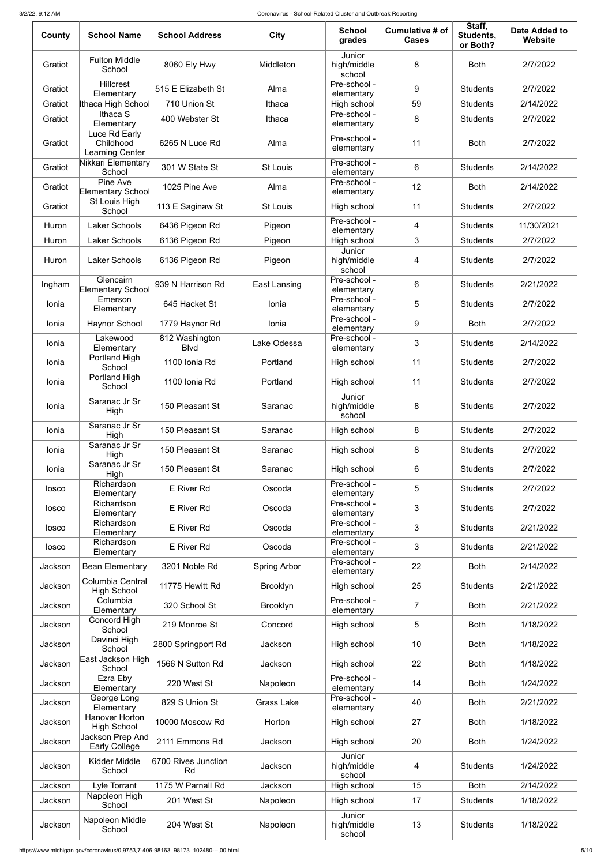| County  | <b>School Name</b>                            | <b>School Address</b>          | <b>City</b>             | <b>School</b><br>grades         | Cumulative # of<br><b>Cases</b> | Staff,<br>Students,<br>or Both? | <b>Date Added to</b><br>Website |
|---------|-----------------------------------------------|--------------------------------|-------------------------|---------------------------------|---------------------------------|---------------------------------|---------------------------------|
| Gratiot | <b>Fulton Middle</b><br>School                | 8060 Ely Hwy                   | Middleton               | Junior<br>high/middle<br>school | 8                               | <b>Both</b>                     | 2/7/2022                        |
| Gratiot | <b>Hillcrest</b><br>Elementary                | 515 E Elizabeth St             | Alma                    | Pre-school -<br>elementary      | 9                               | <b>Students</b>                 | 2/7/2022                        |
| Gratiot | Ithaca High School                            | 710 Union St                   | Ithaca                  | High school                     | 59                              | <b>Students</b>                 | 2/14/2022                       |
| Gratiot | Ithaca S<br>Elementary                        | 400 Webster St                 | Ithaca                  | Pre-school -<br>elementary      | 8                               | <b>Students</b>                 | 2/7/2022                        |
| Gratiot | Luce Rd Early<br>Childhood<br>Learning Center | 6265 N Luce Rd                 | Alma                    | Pre-school -<br>elementary      | 11                              | <b>Both</b>                     | 2/7/2022                        |
| Gratiot | Nikkari Elementary<br>School                  | 301 W State St                 | <b>St Louis</b>         | Pre-school -<br>elementary      | 6                               | <b>Students</b>                 | 2/14/2022                       |
| Gratiot | Pine Ave<br>Elementary School                 | 1025 Pine Ave                  | Alma                    | Pre-school -<br>elementary      | 12                              | <b>Both</b>                     | 2/14/2022                       |
| Gratiot | St Louis High<br>School                       | 113 E Saginaw St               | <b>St Louis</b>         | High school                     | 11                              | <b>Students</b>                 | 2/7/2022                        |
| Huron   | <b>Laker Schools</b>                          | 6436 Pigeon Rd                 | Pigeon                  | Pre-school -<br>elementary      | 4                               | <b>Students</b>                 | 11/30/2021                      |
| Huron   | <b>Laker Schools</b>                          | 6136 Pigeon Rd                 | Pigeon                  | High school                     | 3                               | <b>Students</b>                 | 2/7/2022                        |
| Huron   | <b>Laker Schools</b>                          | 6136 Pigeon Rd                 | Pigeon                  | Junior<br>high/middle<br>school | 4                               | <b>Students</b>                 | 2/7/2022                        |
| Ingham  | Glencairn<br><b>Elementary School</b>         | 939 N Harrison Rd              | East Lansing            | Pre-school -<br>elementary      | 6                               | <b>Students</b>                 | 2/21/2022                       |
| Ionia   | Emerson<br>Elementary                         | 645 Hacket St                  | lonia                   | Pre-school -<br>elementary      | 5                               | <b>Students</b>                 | 2/7/2022                        |
| Ionia   | <b>Haynor School</b>                          | 1779 Haynor Rd                 | Ionia                   | Pre-school -<br>elementary      | 9                               | <b>Both</b>                     | 2/7/2022                        |
| Ionia   | Lakewood<br>Elementary                        | 812 Washington<br><b>B</b> lvd | <sub>-</sub> ake Odessa | Pre-school -<br>elementary      | 3                               | <b>Students</b>                 | 2/14/2022                       |
| lonia   | Portland High<br>School                       | 1100 Ionia Rd                  | Portland                | High school                     | 11                              | <b>Students</b>                 | 2/7/2022                        |
| Ionia   | Portland High<br>School                       | 1100 Ionia Rd                  | Portland                | High school                     | 11                              | <b>Students</b>                 | 2/7/2022                        |
| lonia   | Saranac Jr Sr<br>High                         | 150 Pleasant St                | Saranac                 | Junior<br>high/middle<br>school | 8                               | <b>Students</b>                 | 2/7/2022                        |
| Ionia   | Saranac Jr Sr<br>High                         | 150 Pleasant St                | Saranac                 | High school                     | 8                               | <b>Students</b>                 | 2/7/2022                        |
| lonia   | Saranac Jr Sr<br>High                         | 150 Pleasant St                | Saranac                 | High school                     | 8                               | <b>Students</b>                 | 2/7/2022                        |
| Ionia   | Saranac Jr Sr<br>High                         | 150 Pleasant St                | Saranac                 | High school                     | 6                               | <b>Students</b>                 | 2/7/2022                        |
| losco   | Richardson<br>Elementary                      | E River Rd                     | Oscoda                  | Pre-school -<br>elementary      | 5                               | <b>Students</b>                 | 2/7/2022                        |
| losco   | Richardson<br>Elementary                      | E River Rd                     | Oscoda                  | Pre-school -<br>elementary      | 3                               | <b>Students</b>                 | 2/7/2022                        |
| losco   | Richardson<br>Elementary                      | E River Rd                     | Oscoda                  | Pre-school -<br>elementary      | 3                               | <b>Students</b>                 | 2/21/2022                       |
| losco   | Richardson<br>Elementary                      | E River Rd                     | Oscoda                  | Pre-school -<br>elementary      | 3                               | <b>Students</b>                 | 2/21/2022                       |
| Jackson | <b>Bean Elementary</b>                        | 3201 Noble Rd                  | <b>Spring Arbor</b>     | Pre-school -<br>elementary      | 22                              | <b>Both</b>                     | 2/14/2022                       |
| Jackson | Columbia Central<br><b>High School</b>        | 11775 Hewitt Rd                | <b>Brooklyn</b>         | High school                     | 25                              | <b>Students</b>                 | 2/21/2022                       |
| Jackson | Columbia<br>Elementary                        | 320 School St                  | <b>Brooklyn</b>         | Pre-school -<br>elementary      | $\overline{7}$                  | <b>Both</b>                     | 2/21/2022                       |
| Jackson | Concord High<br>School                        | 219 Monroe St                  | Concord                 | High school                     | 5                               | <b>Both</b>                     | 1/18/2022                       |
| Jackson | Davinci High<br>School                        | 2800 Springport Rd             | Jackson                 | High school                     | 10                              | <b>Both</b>                     | 1/18/2022                       |
| Jackson | East Jackson High<br>School                   | 1566 N Sutton Rd               | Jackson                 | High school                     | 22                              | <b>Both</b>                     | 1/18/2022                       |
| Jackson | Ezra Eby<br>Elementary                        | 220 West St                    | Napoleon                | Pre-school -<br>elementary      | 14                              | <b>Both</b>                     | 1/24/2022                       |
| Jackson | George Long<br>Elementary                     | 829 S Union St                 | <b>Grass Lake</b>       | Pre-school -<br>elementary      | 40                              | <b>Both</b>                     | 2/21/2022                       |
| Jackson | <b>Hanover Horton</b><br><b>High School</b>   | 10000 Moscow Rd                | Horton                  | High school                     | 27                              | <b>Both</b>                     | 1/18/2022                       |
| Jackson | Jackson Prep And<br><b>Early College</b>      | 2111 Emmons Rd                 | Jackson                 | High school                     | 20                              | <b>Both</b>                     | 1/24/2022                       |
| Jackson | <b>Kidder Middle</b><br>School                | 6700 Rives Junction<br>Rd      | Jackson                 | Junior<br>high/middle<br>school | 4                               | <b>Students</b>                 | 1/24/2022                       |
| Jackson | Lyle Torrant                                  | 1175 W Parnall Rd              | Jackson                 | High school                     | 15                              | <b>Both</b>                     | 2/14/2022                       |
| Jackson | Napoleon High<br>School                       | 201 West St                    | Napoleon                | High school                     | 17                              | <b>Students</b>                 | 1/18/2022                       |
| Jackson | Napoleon Middle<br>School                     | 204 West St                    | Napoleon                | Junior<br>high/middle<br>school | 13                              | <b>Students</b>                 | 1/18/2022                       |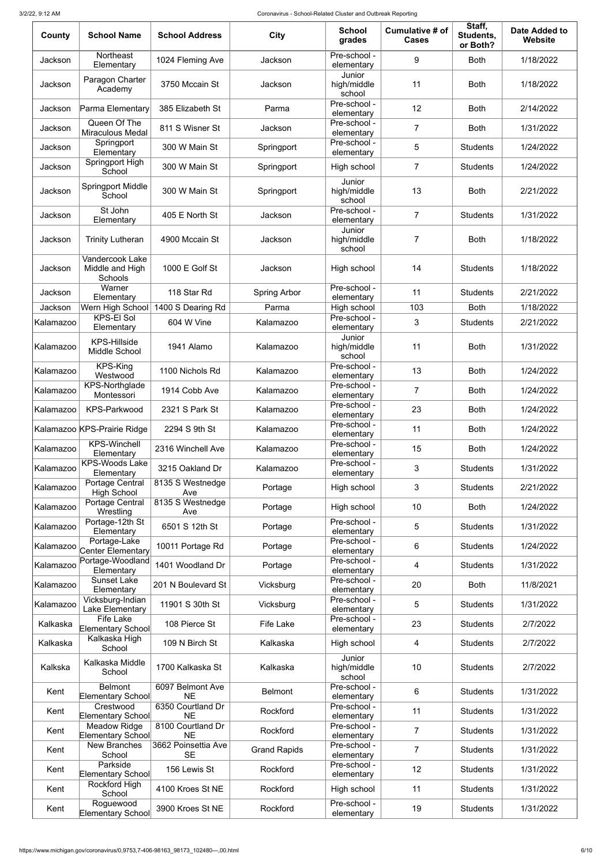| County    | <b>School Name</b>                                   | <b>School Address</b>            | City                | <b>School</b><br>grades         | Cumulative # of<br><b>Cases</b> | Staff,<br>Students,<br>or Both? | <b>Date Added to</b><br>Website |
|-----------|------------------------------------------------------|----------------------------------|---------------------|---------------------------------|---------------------------------|---------------------------------|---------------------------------|
| Jackson   | Northeast<br>Elementary                              | 1024 Fleming Ave                 | Jackson             | Pre-school -<br>elementary      | 9                               | <b>Both</b>                     | 1/18/2022                       |
| Jackson   | Paragon Charter<br>Academy                           | 3750 Mccain St                   | Jackson             | Junior<br>high/middle<br>school | 11                              | <b>Both</b>                     | 1/18/2022                       |
| Jackson   | Parma Elementary                                     | 385 Elizabeth St                 | Parma               | Pre-school -<br>elementary      | 12                              | <b>Both</b>                     | 2/14/2022                       |
| Jackson   | Queen Of The<br><b>Miraculous Medal</b>              | 811 S Wisner St                  | Jackson             | Pre-school -<br>elementary      | $\overline{7}$                  | <b>Both</b>                     | 1/31/2022                       |
| Jackson   | Springport<br>Elementary                             | 300 W Main St                    | Springport          | Pre-school -<br>elementary      | 5                               | <b>Students</b>                 | 1/24/2022                       |
| Jackson   | Springport High<br>School                            | 300 W Main St                    | Springport          | High school                     | $\overline{7}$                  | <b>Students</b>                 | 1/24/2022                       |
| Jackson   | <b>Springport Middle</b><br>School                   | 300 W Main St                    | Springport          | Junior<br>high/middle<br>school | 13                              | <b>Both</b>                     | 2/21/2022                       |
| Jackson   | St John<br>Elementary                                | 405 E North St                   | Jackson             | Pre-school -<br>elementary      | $\overline{7}$                  | <b>Students</b>                 | 1/31/2022                       |
| Jackson   | <b>Trinity Lutheran</b>                              | 4900 Mccain St                   | Jackson             | Junior<br>high/middle<br>school | 7                               | <b>Both</b>                     | 1/18/2022                       |
| Jackson   | Vandercook Lake<br>Middle and High<br><b>Schools</b> | 1000 E Golf St                   | Jackson             | High school                     | 14                              | <b>Students</b>                 | 1/18/2022                       |
| Jackson   | Warner<br>Elementary                                 | 118 Star Rd                      | <b>Spring Arbor</b> | Pre-school -<br>elementary      | 11                              | <b>Students</b>                 | 2/21/2022                       |
| Jackson   | Wern High School                                     | 1400 S Dearing Rd                | Parma               | High school                     | 103                             | <b>Both</b>                     | 1/18/2022                       |
| Kalamazoo | <b>KPS-EI Sol</b><br>Elementary                      | 604 W Vine                       | Kalamazoo           | Pre-school -<br>elementary      | 3                               | <b>Students</b>                 | 2/21/2022                       |
| Kalamazoo | <b>KPS-Hillside</b><br>Middle School                 | 1941 Alamo                       | Kalamazoo           | Junior<br>high/middle<br>school | 11                              | <b>Both</b>                     | 1/31/2022                       |
| Kalamazoo | KPS-King<br>Westwood                                 | 1100 Nichols Rd                  | Kalamazoo           | Pre-school -<br>elementary      | 13                              | <b>Both</b>                     | 1/24/2022                       |
| Kalamazoo | <b>KPS-Northglade</b><br>Montessori                  | 1914 Cobb Ave                    | Kalamazoo           | Pre-school -<br>elementary      | $\overline{7}$                  | <b>Both</b>                     | 1/24/2022                       |
| Kalamazoo | <b>KPS-Parkwood</b>                                  | 2321 S Park St                   | Kalamazoo           | Pre-school -<br>elementary      | 23                              | <b>Both</b>                     | 1/24/2022                       |
|           | Kalamazoo KPS-Prairie Ridge                          | 2294 S 9th St                    | Kalamazoo           | Pre-school -<br>elementary      | 11                              | <b>Both</b>                     | 1/24/2022                       |
| Kalamazoo | <b>KPS-Winchell</b><br>Elementary                    | 2316 Winchell Ave                | Kalamazoo           | Pre-school -<br>elementary      | 15                              | <b>Both</b>                     | 1/24/2022                       |
| Kalamazoo | <b>KPS-Woods Lake</b><br>Elementary                  | 3215 Oakland Dr                  | Kalamazoo           | Pre-school -<br>elementary      | 3                               | <b>Students</b>                 | 1/31/2022                       |
| Kalamazoo | Portage Central<br><b>High School</b>                | 8135 S Westnedge<br>Ave          | Portage             | High school                     | 3                               | <b>Students</b>                 | 2/21/2022                       |
| Kalamazoo | Portage Central<br>Wrestling                         | 8135 S Westnedge<br>Ave          | Portage             | High school                     | 10                              | <b>Both</b>                     | 1/24/2022                       |
| Kalamazoo | Portage-12th St<br>Elementary                        | 6501 S 12th St                   | Portage             | Pre-school -<br>elementary      | 5                               | <b>Students</b>                 | 1/31/2022                       |
| Kalamazoo | Portage-Lake<br>Center Elementary                    | 10011 Portage Rd                 | Portage             | Pre-school -<br>elementary      | 6                               | <b>Students</b>                 | 1/24/2022                       |
| Kalamazoo | Portage-Woodland<br>Elementary                       | 1401 Woodland Dr                 | Portage             | Pre-school -<br>elementary      | $\overline{4}$                  | <b>Students</b>                 | 1/31/2022                       |
| Kalamazoo | <b>Sunset Lake</b><br>Elementary                     | 201 N Boulevard St               | Vicksburg           | Pre-school -<br>elementary      | 20                              | <b>Both</b>                     | 11/8/2021                       |
| Kalamazoo | Vicksburg-Indian<br>Lake Elementary                  | 11901 S 30th St                  | Vicksburg           | Pre-school -<br>elementary      | 5                               | <b>Students</b>                 | 1/31/2022                       |
| Kalkaska  | <b>Fife Lake</b><br>Elementary School                | 108 Pierce St                    | <b>Fife Lake</b>    | Pre-school -<br>elementary      | 23                              | <b>Students</b>                 | 2/7/2022                        |
| Kalkaska  | Kalkaska High<br>School                              | 109 N Birch St                   | Kalkaska            | High school                     | 4                               | <b>Students</b>                 | 2/7/2022                        |
| Kalkska   | Kalkaska Middle<br>School                            | 1700 Kalkaska St                 | Kalkaska            | Junior<br>high/middle<br>school | 10                              | <b>Students</b>                 | 2/7/2022                        |
| Kent      | <b>Belmont</b><br>Elementary School                  | 6097 Belmont Ave<br><b>NE</b>    | <b>Belmont</b>      | Pre-school -<br>elementary      | 6                               | <b>Students</b>                 | 1/31/2022                       |
| Kent      | Crestwood<br>Elementary School                       | 6350 Courtland Dr<br><b>NE</b>   | Rockford            | Pre-school -<br>elementary      | 11                              | <b>Students</b>                 | 1/31/2022                       |
| Kent      | <b>Meadow Ridge</b><br>Elementary School             | 8100 Courtland Dr<br><b>NE</b>   | Rockford            | Pre-school -<br>elementary      | $\overline{7}$                  | <b>Students</b>                 | 1/31/2022                       |
| Kent      | <b>New Branches</b><br>School                        | 3662 Poinsettia Ave<br><b>SE</b> | <b>Grand Rapids</b> | Pre-school -<br>elementary      | $\overline{7}$                  | <b>Students</b>                 | 1/31/2022                       |
| Kent      | Parkside<br>Elementary School                        | 156 Lewis St                     | Rockford            | Pre-school -<br>elementary      | 12                              | <b>Students</b>                 | 1/31/2022                       |
| Kent      | Rockford High<br>School                              | 4100 Kroes St NE                 | Rockford            | High school                     | 11                              | <b>Students</b>                 | 1/31/2022                       |
| Kent      | Roguewood<br>Elementary School                       | 3900 Kroes St NE                 | Rockford            | Pre-school -<br>elementary      | 19                              | <b>Students</b>                 | 1/31/2022                       |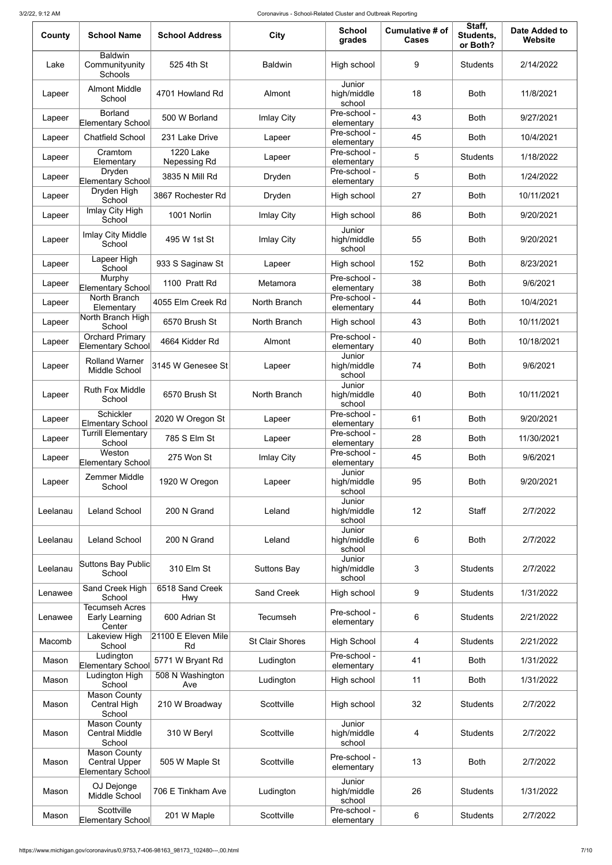| County   | <b>School Name</b>                                               | <b>School Address</b>                   | <b>City</b>            | <b>School</b><br>grades         | <b>Cumulative # of</b><br><b>Cases</b> | Staff,<br>Students,<br>or Both? | Date Added to<br>Website |
|----------|------------------------------------------------------------------|-----------------------------------------|------------------------|---------------------------------|----------------------------------------|---------------------------------|--------------------------|
| Lake     | <b>Baldwin</b><br>Communityunity<br>Schools                      | 525 4th St                              | <b>Baldwin</b>         | High school                     | 9                                      | <b>Students</b>                 | 2/14/2022                |
| Lapeer   | <b>Almont Middle</b><br>School                                   | 4701 Howland Rd                         | Almont                 | Junior<br>high/middle<br>school | 18                                     | <b>Both</b>                     | 11/8/2021                |
| Lapeer   | <b>Borland</b><br>Elementary School                              | 500 W Borland                           | Imlay City             | Pre-school -<br>elementary      | 43                                     | <b>Both</b>                     | 9/27/2021                |
| Lapeer   | <b>Chatfield School</b>                                          | 231 Lake Drive                          | Lapeer                 | Pre-school -<br>elementary      | 45                                     | <b>Both</b>                     | 10/4/2021                |
| Lapeer   | Cramtom<br>Elementary                                            | <b>1220 Lake</b><br><b>Nepessing Rd</b> | Lapeer                 | Pre-school -<br>elementary      | 5                                      | <b>Students</b>                 | 1/18/2022                |
| Lapeer   | Dryden<br>Elementary School                                      | 3835 N Mill Rd                          | Dryden                 | Pre-school -<br>elementary      | 5                                      | <b>Both</b>                     | 1/24/2022                |
| Lapeer   | Dryden High<br>School                                            | 3867 Rochester Rd                       | Dryden                 | High school                     | 27                                     | <b>Both</b>                     | 10/11/2021               |
| Lapeer   | <b>Imlay City High</b><br>School                                 | 1001 Norlin                             | Imlay City             | High school                     | 86                                     | <b>Both</b>                     | 9/20/2021                |
| Lapeer   | Imlay City Middle<br>School                                      | 495 W 1st St                            | Imlay City             | Junior<br>high/middle<br>school | 55                                     | <b>Both</b>                     | 9/20/2021                |
| Lapeer   | Lapeer High<br>School                                            | 933 S Saginaw St                        | Lapeer                 | High school                     | 152                                    | <b>Both</b>                     | 8/23/2021                |
| Lapeer   | Murphy<br>Elementary School                                      | 1100 Pratt Rd                           | Metamora               | Pre-school -<br>elementary      | 38                                     | <b>Both</b>                     | 9/6/2021                 |
| Lapeer   | North Branch<br>Elementary                                       | 4055 Elm Creek Rd                       | North Branch           | Pre-school -<br>elementary      | 44                                     | <b>Both</b>                     | 10/4/2021                |
| Lapeer   | North Branch High<br>School                                      | 6570 Brush St                           | North Branch           | High school                     | 43                                     | <b>Both</b>                     | 10/11/2021               |
| Lapeer   | <b>Orchard Primary</b><br>Elementary School                      | 4664 Kidder Rd                          | Almont                 | Pre-school -<br>elementary      | 40                                     | <b>Both</b>                     | 10/18/2021               |
| Lapeer   | <b>Rolland Warner</b><br>Middle School                           | 3145 W Genesee St                       | Lapeer                 | Junior<br>high/middle<br>school | 74                                     | <b>Both</b>                     | 9/6/2021                 |
| Lapeer   | <b>Ruth Fox Middle</b><br>School                                 | 6570 Brush St                           | North Branch           | Junior<br>high/middle<br>school | 40                                     | <b>Both</b>                     | 10/11/2021               |
| Lapeer   | <b>Schickler</b><br><b>Elmentary School</b>                      | 2020 W Oregon St                        | Lapeer                 | Pre-school -<br>elementary      | 61                                     | <b>Both</b>                     | 9/20/2021                |
| Lapeer   | <b>Turrill Elementary</b><br>School                              | 785 S Elm St                            | Lapeer                 | Pre-school -<br>elementary      | 28                                     | <b>Both</b>                     | 11/30/2021               |
| Lapeer   | Weston<br>Elementary School                                      | 275 Won St                              | Imlay City             | Pre-school -<br>elementary      | 45                                     | <b>Both</b>                     | 9/6/2021                 |
| Lapeer   | Zemmer Middle<br>School                                          | 1920 W Oregon                           | Lapeer                 | Junior<br>high/middle<br>school | 95                                     | <b>Both</b>                     | 9/20/2021                |
| Leelanau | <b>Leland School</b>                                             | 200 N Grand                             | Leland                 | Junior<br>high/middle<br>school | 12                                     | <b>Staff</b>                    | 2/7/2022                 |
| Leelanau | <b>Leland School</b>                                             | 200 N Grand                             | Leland                 | Junior<br>high/middle<br>school | 6                                      | <b>Both</b>                     | 2/7/2022                 |
| Leelanau | Suttons Bay Public<br>School                                     | 310 Elm St                              | <b>Suttons Bay</b>     | Junior<br>high/middle<br>school | 3                                      | <b>Students</b>                 | 2/7/2022                 |
| Lenawee  | Sand Creek High<br>School                                        | 6518 Sand Creek<br>Hwy                  | <b>Sand Creek</b>      | High school                     | 9                                      | <b>Students</b>                 | 1/31/2022                |
| Lenawee  | <b>Tecumseh Acres</b><br>Early Learning<br>Center                | 600 Adrian St                           | <b>Tecumseh</b>        | Pre-school -<br>elementary      | 6                                      | <b>Students</b>                 | 2/21/2022                |
| Macomb   | Lakeview High<br>School                                          | 21100 E Eleven Mile<br>Rd               | <b>St Clair Shores</b> | <b>High School</b>              | 4                                      | <b>Students</b>                 | 2/21/2022                |
| Mason    | Ludington<br><b>Elementary School</b>                            | 5771 W Bryant Rd                        | Ludington              | Pre-school -<br>elementary      | 41                                     | <b>Both</b>                     | 1/31/2022                |
| Mason    | Ludington High<br>School                                         | 508 N Washington<br>Ave                 | Ludington              | High school                     | 11                                     | <b>Both</b>                     | 1/31/2022                |
| Mason    | <b>Mason County</b><br>Central High<br>School                    | 210 W Broadway                          | Scottville             | High school                     | 32                                     | <b>Students</b>                 | 2/7/2022                 |
| Mason    | <b>Mason County</b><br><b>Central Middle</b><br>School           | 310 W Beryl                             | Scottville             | Junior<br>high/middle<br>school | 4                                      | <b>Students</b>                 | 2/7/2022                 |
| Mason    | <b>Mason County</b><br><b>Central Upper</b><br>Elementary School | 505 W Maple St                          | Scottville             | Pre-school -<br>elementary      | 13                                     | <b>Both</b>                     | 2/7/2022                 |
| Mason    | OJ Dejonge<br>Middle School                                      | 706 E Tinkham Ave                       | Ludington              | Junior<br>high/middle<br>school | 26                                     | <b>Students</b>                 | 1/31/2022                |
| Mason    | Scottville<br>Elementary School                                  | 201 W Maple                             | Scottville             | Pre-school -<br>elementary      | 6                                      | <b>Students</b>                 | 2/7/2022                 |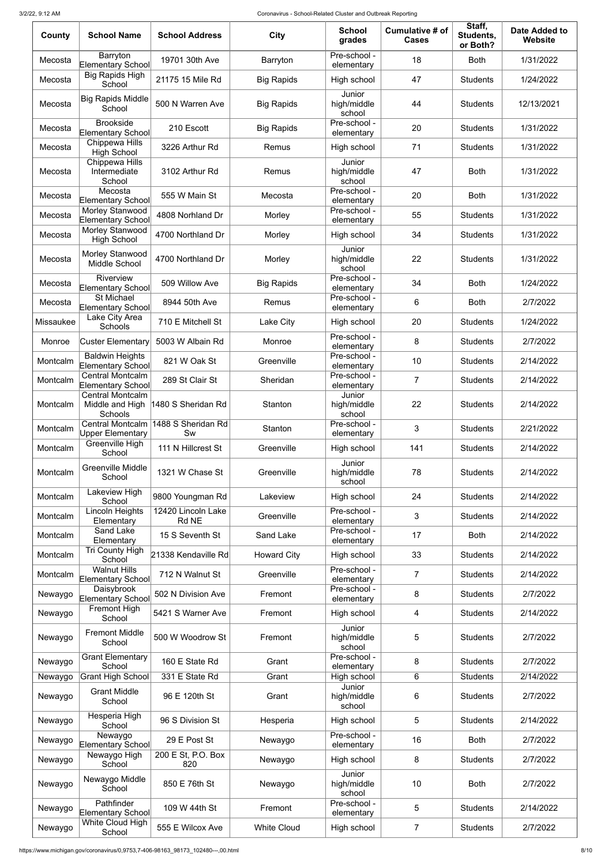| County    | <b>School Name</b>                                 | <b>School Address</b>       | <b>City</b>        | <b>School</b><br>grades         | Cumulative # of<br><b>Cases</b> | Staff,<br>Students,<br>or Both? | <b>Date Added to</b><br><b>Website</b> |
|-----------|----------------------------------------------------|-----------------------------|--------------------|---------------------------------|---------------------------------|---------------------------------|----------------------------------------|
| Mecosta   | Barryton<br>Elementary School                      | 19701 30th Ave              | Barryton           | Pre-school -<br>elementary      | 18                              | <b>Both</b>                     | 1/31/2022                              |
| Mecosta   | <b>Big Rapids High</b><br>School                   | 21175 15 Mile Rd            | <b>Big Rapids</b>  | High school                     | 47                              | <b>Students</b>                 | 1/24/2022                              |
| Mecosta   | <b>Big Rapids Middle</b><br>School                 | 500 N Warren Ave            | <b>Big Rapids</b>  | Junior<br>high/middle<br>school | 44                              | <b>Students</b>                 | 12/13/2021                             |
| Mecosta   | <b>Brookside</b><br>Elementary School              | 210 Escott                  | <b>Big Rapids</b>  | Pre-school -<br>elementary      | 20                              | <b>Students</b>                 | 1/31/2022                              |
| Mecosta   | Chippewa Hills<br><b>High School</b>               | 3226 Arthur Rd              | Remus              | High school                     | 71                              | <b>Students</b>                 | 1/31/2022                              |
| Mecosta   | Chippewa Hills<br>Intermediate<br>School           | 3102 Arthur Rd              | Remus              | Junior<br>high/middle<br>school | 47                              | <b>Both</b>                     | 1/31/2022                              |
| Mecosta   | Mecosta<br>Elementary School                       | 555 W Main St               | Mecosta            | Pre-school -<br>elementary      | 20                              | <b>Both</b>                     | 1/31/2022                              |
| Mecosta   | Morley Stanwood<br><b>Elementary School</b>        | 4808 Norhland Dr            | Morley             | Pre-school -<br>elementary      | 55                              | <b>Students</b>                 | 1/31/2022                              |
| Mecosta   | Morley Stanwood<br><b>High School</b>              | 4700 Northland Dr           | Morley             | High school                     | 34                              | <b>Students</b>                 | 1/31/2022                              |
| Mecosta   | Morley Stanwood<br>Middle School                   | 4700 Northland Dr           | Morley             | Junior<br>high/middle<br>school | 22                              | <b>Students</b>                 | 1/31/2022                              |
| Mecosta   | Riverview<br>Elementary School                     | 509 Willow Ave              | <b>Big Rapids</b>  | Pre-school -<br>elementary      | 34                              | <b>Both</b>                     | 1/24/2022                              |
| Mecosta   | <b>St Michael</b><br>Elementary School             | 8944 50th Ave               | Remus              | Pre-school -<br>elementary      | 6                               | <b>Both</b>                     | 2/7/2022                               |
| Missaukee | Lake City Area<br>Schools                          | 710 E Mitchell St           | Lake City          | High school                     | 20                              | <b>Students</b>                 | 1/24/2022                              |
| Monroe    | <b>Custer Elementary</b>                           | 5003 W Albain Rd            | Monroe             | Pre-school -<br>elementary      | 8                               | <b>Students</b>                 | 2/7/2022                               |
| Montcalm  | <b>Baldwin Heights</b><br>Elementary School        | 821 W Oak St                | Greenville         | Pre-school -<br>elementary      | 10                              | <b>Students</b>                 | 2/14/2022                              |
| Montcalm  | <b>Central Montcalm</b><br>Elementary School       | 289 St Clair St             | Sheridan           | Pre-school -<br>elementary      | $\overline{7}$                  | <b>Students</b>                 | 2/14/2022                              |
| Montcalm  | Central Montcalm<br>Middle and High<br>Schools     | 1480 S Sheridan Rd          | <b>Stanton</b>     | Junior<br>high/middle<br>school | 22                              | <b>Students</b>                 | 2/14/2022                              |
| Montcalm  | <b>Central Montcalm</b><br><b>Upper Elementary</b> | 1488 S Sheridan Rd<br>Sw    | Stanton            | Pre-school -<br>elementary      | 3                               | <b>Students</b>                 | 2/21/2022                              |
| Montcalm  | Greenville High<br>School                          | 111 N Hillcrest St          | Greenville         | High school                     | 141                             | <b>Students</b>                 | 2/14/2022                              |
| Montcalm  | <b>Greenville Middle</b><br>School                 | 1321 W Chase St             | Greenville         | Junior<br>high/middle<br>school | 78                              | <b>Students</b>                 | 2/14/2022                              |
| Montcalm  | Lakeview High<br>School                            | 9800 Youngman Rd            | Lakeview           | High school                     | 24                              | <b>Students</b>                 | 2/14/2022                              |
| Montcalm  | Lincoln Heights<br>Elementary                      | 12420 Lincoln Lake<br>Rd NE | Greenville         | Pre-school -<br>elementary      | 3                               | <b>Students</b>                 | 2/14/2022                              |
| Montcalm  | <b>Sand Lake</b><br>Elementary                     | 15 S Seventh St             | <b>Sand Lake</b>   | Pre-school -<br>elementary      | 17                              | <b>Both</b>                     | 2/14/2022                              |
| Montcalm  | <b>Tri County High</b><br>School                   | 21338 Kendaville Rd         | <b>Howard City</b> | High school                     | 33                              | <b>Students</b>                 | 2/14/2022                              |
| Montcalm  | <b>Walnut Hills</b><br>Elementary School           | 712 N Walnut St             | Greenville         | Pre-school -<br>elementary      | $\overline{7}$                  | <b>Students</b>                 | 2/14/2022                              |
| Newaygo   | Daisybrook<br><b>Elementary School</b>             | 502 N Division Ave          | Fremont            | Pre-school -<br>elementary      | 8                               | <b>Students</b>                 | 2/7/2022                               |
| Newaygo   | <b>Fremont High</b><br>School                      | 5421 S Warner Ave           | Fremont            | High school                     | 4                               | <b>Students</b>                 | 2/14/2022                              |
| Newaygo   | <b>Fremont Middle</b><br>School                    | 500 W Woodrow St            | Fremont            | Junior<br>high/middle<br>school | 5                               | <b>Students</b>                 | 2/7/2022                               |
| Newaygo   | <b>Grant Elementary</b><br>School                  | 160 E State Rd              | Grant              | Pre-school -<br>elementary      | 8                               | <b>Students</b>                 | 2/7/2022                               |
| Newaygo   | <b>Grant High School</b>                           | 331 E State Rd              | Grant              | High school                     | 6                               | <b>Students</b>                 | 2/14/2022                              |
| Newaygo   | <b>Grant Middle</b><br>School                      | 96 E 120th St               | Grant              | Junior<br>high/middle<br>school | 6                               | <b>Students</b>                 | 2/7/2022                               |
| Newaygo   | Hesperia High<br>School                            | 96 S Division St            | Hesperia           | High school                     | 5                               | <b>Students</b>                 | 2/14/2022                              |
| Newaygo   | Newaygo<br>Elementary School                       | 29 E Post St                | Newaygo            | Pre-school -<br>elementary      | 16                              | <b>Both</b>                     | 2/7/2022                               |
| Newaygo   | Newaygo High<br>School                             | 200 E St, P.O. Box<br>820   | Newaygo            | High school                     | 8                               | <b>Students</b>                 | 2/7/2022                               |
| Newaygo   | Newaygo Middle<br>School                           | 850 E 76th St               | Newaygo            | Junior<br>high/middle<br>school | 10                              | <b>Both</b>                     | 2/7/2022                               |
| Newaygo   | Pathfinder<br>Elementary School                    | 109 W 44th St               | Fremont            | Pre-school -<br>elementary      | 5                               | <b>Students</b>                 | 2/14/2022                              |
| Newaygo   | White Cloud High<br>School                         | 555 E Wilcox Ave            | <b>White Cloud</b> | High school                     | 7                               | <b>Students</b>                 | 2/7/2022                               |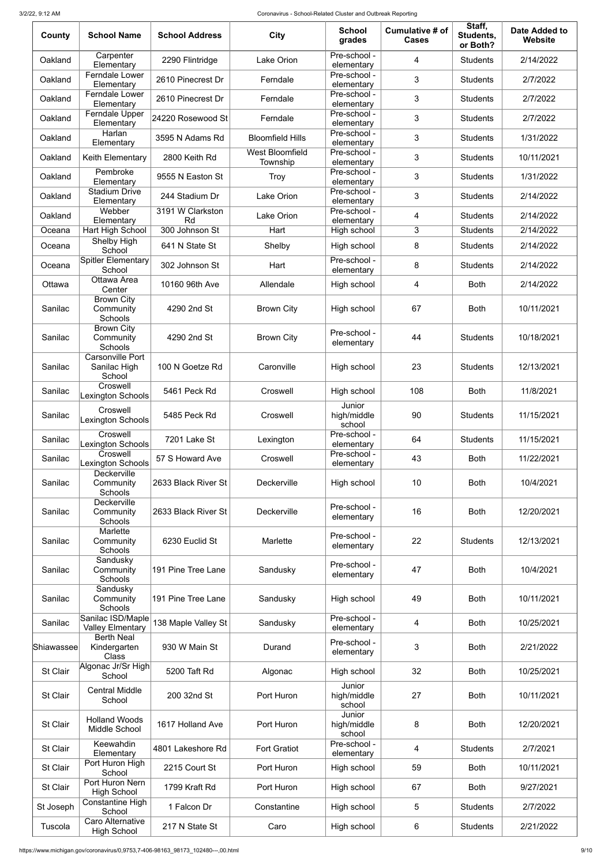| County          | <b>School Name</b>                                | <b>School Address</b>  | <b>City</b>                        | <b>School</b><br>grades         | Cumulative # of<br><b>Cases</b> | Staff,<br>Students,<br>or Both? | <b>Date Added to</b><br>Website |
|-----------------|---------------------------------------------------|------------------------|------------------------------------|---------------------------------|---------------------------------|---------------------------------|---------------------------------|
| Oakland         | Carpenter<br>Elementary                           | 2290 Flintridge        | Lake Orion                         | Pre-school -<br>elementary      | $\overline{4}$                  | <b>Students</b>                 | 2/14/2022                       |
| Oakland         | <b>Ferndale Lower</b><br>Elementary               | 2610 Pinecrest Dr      | Ferndale                           | Pre-school -<br>elementary      | 3                               | <b>Students</b>                 | 2/7/2022                        |
| Oakland         | <b>Ferndale Lower</b><br>Elementary               | 2610 Pinecrest Dr      | Ferndale                           | Pre-school -<br>elementary      | 3                               | <b>Students</b>                 | 2/7/2022                        |
| Oakland         | Ferndale Upper<br>Elementary                      | 24220 Rosewood St      | Ferndale                           | Pre-school -<br>elementary      | 3                               | <b>Students</b>                 | 2/7/2022                        |
| Oakland         | Harlan<br>Elementary                              | 3595 N Adams Rd        | <b>Bloomfield Hills</b>            | Pre-school -<br>elementary      | 3                               | <b>Students</b>                 | 1/31/2022                       |
| Oakland         | Keith Elementary                                  | 2800 Keith Rd          | <b>West Bloomfield</b><br>Township | Pre-school -<br>elementary      | 3                               | <b>Students</b>                 | 10/11/2021                      |
| Oakland         | Pembroke<br>Elementary                            | 9555 N Easton St       | Troy                               | Pre-school -<br>elementary      | 3                               | <b>Students</b>                 | 1/31/2022                       |
| Oakland         | <b>Stadium Drive</b><br>Elementary                | 244 Stadium Dr         | Lake Orion                         | Pre-school -<br>elementary      | 3                               | <b>Students</b>                 | 2/14/2022                       |
| Oakland         | Webber<br>Elementary                              | 3191 W Clarkston<br>Rd | <b>Lake Orion</b>                  | Pre-school -<br>elementary      | 4                               | <b>Students</b>                 | 2/14/2022                       |
| Oceana          | Hart High School                                  | 300 Johnson St         | Hart                               | High school                     | 3                               | Students                        | 2/14/2022                       |
| Oceana          | Shelby High<br>School                             | 641 N State St         | Shelby                             | High school                     | 8                               | <b>Students</b>                 | 2/14/2022                       |
| Oceana          | <b>Spitler Elementary</b><br>School               | 302 Johnson St         | Hart                               | Pre-school -<br>elementary      | 8                               | <b>Students</b>                 | 2/14/2022                       |
| Ottawa          | Ottawa Area                                       | 10160 96th Ave         | Allendale                          | High school                     | 4                               | <b>Both</b>                     | 2/14/2022                       |
| Sanilac         | Center<br><b>Brown City</b><br>Community          | 4290 2nd St            | <b>Brown City</b>                  | High school                     | 67                              | <b>Both</b>                     | 10/11/2021                      |
|                 | Schools                                           |                        |                                    |                                 |                                 |                                 |                                 |
| Sanilac         | <b>Brown City</b><br>Community<br>Schools         | 4290 2nd St            | <b>Brown City</b>                  | Pre-school -<br>elementary      | 44                              | <b>Students</b>                 | 10/18/2021                      |
| Sanilac         | <b>Carsonville Port</b><br>Sanilac High<br>School | 100 N Goetze Rd        | Caronville                         | High school                     | 23                              | <b>Students</b>                 | 12/13/2021                      |
| Sanilac         | Croswell<br>Lexington Schools                     | 5461 Peck Rd           | Croswell                           | High school                     | 108                             | <b>Both</b>                     | 11/8/2021                       |
| Sanilac         | Croswell<br>Lexington Schools                     | 5485 Peck Rd           | Croswell                           | Junior<br>high/middle<br>school | 90                              | <b>Students</b>                 | 11/15/2021                      |
| Sanilac         | Croswell<br>Lexington Schools                     | 7201 Lake St           | Lexington                          | Pre-school -<br>elementary      | 64                              | <b>Students</b>                 | 11/15/2021                      |
| Sanilac         | Croswell<br><b>Lexington Schools</b>              | 57 S Howard Ave        | Croswell                           | Pre-school -<br>elementary      | 43                              | <b>Both</b>                     | 11/22/2021                      |
| Sanilac         | Deckerville<br>Community<br>Schools               | 2633 Black River St    | Deckerville                        | High school                     | 10                              | <b>Both</b>                     | 10/4/2021                       |
| Sanilac         | <b>Deckerville</b><br>Community<br>Schools        | 2633 Black River St    | Deckerville                        | Pre-school -<br>elementary      | 16                              | <b>Both</b>                     | 12/20/2021                      |
| Sanilac         | Marlette<br>Community<br>Schools                  | 6230 Euclid St         | Marlette                           | Pre-school -<br>elementary      | 22                              | <b>Students</b>                 | 12/13/2021                      |
| Sanilac         | Sandusky<br>Community<br>Schools                  | 191 Pine Tree Lane     | Sandusky                           | Pre-school -<br>elementary      | 47                              | <b>Both</b>                     | 10/4/2021                       |
| Sanilac         | Sandusky<br>Community<br>Schools                  | 191 Pine Tree Lane     | Sandusky                           | High school                     | 49                              | <b>Both</b>                     | 10/11/2021                      |
| Sanilac         | Sanilac ISD/Maple<br><b>Valley Elmentary</b>      | 138 Maple Valley St    | Sandusky                           | Pre-school -<br>elementary      | 4                               | <b>Both</b>                     | 10/25/2021                      |
| Shiawassee      | <b>Berth Neal</b><br>Kindergarten<br><b>Class</b> | 930 W Main St          | Durand                             | Pre-school -<br>elementary      | 3                               | <b>Both</b>                     | 2/21/2022                       |
| St Clair        | Algonac Jr/Sr High<br>School                      | 5200 Taft Rd           | Algonac                            | High school                     | 32                              | <b>Both</b>                     | 10/25/2021                      |
| St Clair        | <b>Central Middle</b><br>School                   | 200 32nd St            | Port Huron                         | Junior<br>high/middle<br>school | 27                              | <b>Both</b>                     | 10/11/2021                      |
| <b>St Clair</b> | <b>Holland Woods</b><br>Middle School             | 1617 Holland Ave       | Port Huron                         | Junior<br>high/middle<br>school | 8                               | <b>Both</b>                     | 12/20/2021                      |
| St Clair        | Keewahdin<br>Elementary                           | 4801 Lakeshore Rd      | <b>Fort Gratiot</b>                | Pre-school -<br>elementary      | $\overline{4}$                  | <b>Students</b>                 | 2/7/2021                        |
| St Clair        | Port Huron High<br>School                         | 2215 Court St          | Port Huron                         | High school                     | 59                              | <b>Both</b>                     | 10/11/2021                      |
| St Clair        | Port Huron Nern<br><b>High School</b>             | 1799 Kraft Rd          | Port Huron                         | High school                     | 67                              | <b>Both</b>                     | 9/27/2021                       |
| St Joseph       | Constantine High<br>School                        | 1 Falcon Dr            | Constantine                        | High school                     | 5                               | <b>Students</b>                 | 2/7/2022                        |
| Tuscola         | Caro Alternative<br><b>High School</b>            | 217 N State St         | Caro                               | High school                     | 6                               | <b>Students</b>                 | 2/21/2022                       |